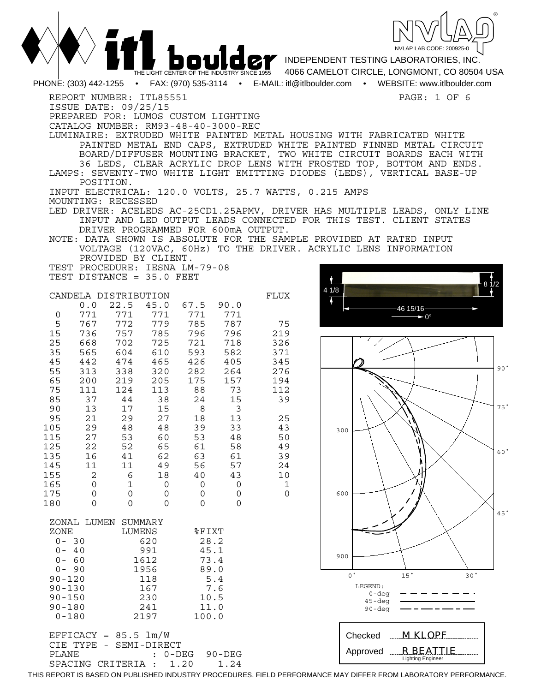

|                        |              |                                                                                                                                                     |             | THE LIGHT CENTER OF THE INDUSTRY SINCE 1955 |            |                                                                                              |      | <b>DOULOP</b> INDEPENDENT TESTING LABORATORIES, INC.<br>4066 CAMELOT CIRCLE, LONGMONT, CO 80504 USA                                                                                                                                                                                                                                                                                                                                                                                                                                     |
|------------------------|--------------|-----------------------------------------------------------------------------------------------------------------------------------------------------|-------------|---------------------------------------------|------------|----------------------------------------------------------------------------------------------|------|-----------------------------------------------------------------------------------------------------------------------------------------------------------------------------------------------------------------------------------------------------------------------------------------------------------------------------------------------------------------------------------------------------------------------------------------------------------------------------------------------------------------------------------------|
|                        |              |                                                                                                                                                     |             |                                             |            |                                                                                              |      | PHONE: (303) 442-1255 • FAX: (970) 535-3114 • E-MAIL: itl@itlboulder.com • WEBSITE: www.itlboulder.com                                                                                                                                                                                                                                                                                                                                                                                                                                  |
|                        | POSITION.    | REPORT NUMBER: ITL85551<br>ISSUE DATE: 09/25/15<br>PREPARED FOR: LUMOS CUSTOM LIGHTING<br>CATALOG NUMBER: RM93-48-40-3000-REC<br>MOUNTING: RECESSED |             |                                             |            | INPUT ELECTRICAL: 120.0 VOLTS, 25.7 WATTS, 0.215 AMPS<br>DRIVER PROGRAMMED FOR 600mA OUTPUT. |      | PAGE: 1 OF 6<br>LUMINAIRE: EXTRUDED WHITE PAINTED METAL HOUSING WITH FABRICATED WHITE<br>PAINTED METAL END CAPS, EXTRUDED WHITE PAINTED FINNED METAL CIRCUIT<br>BOARD/DIFFUSER MOUNTING BRACKET, TWO WHITE CIRCUIT BOARDS EACH WITH<br>36 LEDS, CLEAR ACRYLIC DROP LENS WITH FROSTED TOP, BOTTOM AND ENDS.<br>LAMPS: SEVENTY-TWO WHITE LIGHT EMITTING DIODES (LEDS), VERTICAL BASE-UP<br>LED DRIVER: ACELEDS AC-25CD1.25APMV, DRIVER HAS MULTIPLE LEADS, ONLY LINE<br>INPUT AND LED OUTPUT LEADS CONNECTED FOR THIS TEST. CLIENT STATES |
|                        |              |                                                                                                                                                     |             |                                             |            |                                                                                              |      | NOTE: DATA SHOWN IS ABSOLUTE FOR THE SAMPLE PROVIDED AT RATED INPUT                                                                                                                                                                                                                                                                                                                                                                                                                                                                     |
|                        |              | PROVIDED BY CLIENT.                                                                                                                                 |             |                                             |            |                                                                                              |      | VOLTAGE (120VAC, 60Hz) TO THE DRIVER. ACRYLIC LENS INFORMATION                                                                                                                                                                                                                                                                                                                                                                                                                                                                          |
|                        |              | TEST PROCEDURE: IESNA LM-79-08                                                                                                                      |             |                                             |            |                                                                                              |      |                                                                                                                                                                                                                                                                                                                                                                                                                                                                                                                                         |
|                        |              | TEST DISTANCE = 35.0 FEET<br>CANDELA DISTRIBUTION                                                                                                   |             |                                             |            | FLUX                                                                                         | 41/8 |                                                                                                                                                                                                                                                                                                                                                                                                                                                                                                                                         |
|                        | 0.0          | 22.5                                                                                                                                                | 45.0        | 67.5                                        | 90.0       |                                                                                              |      |                                                                                                                                                                                                                                                                                                                                                                                                                                                                                                                                         |
| 0                      | 771          | 771                                                                                                                                                 | 771         | 771                                         | 771        |                                                                                              |      |                                                                                                                                                                                                                                                                                                                                                                                                                                                                                                                                         |
| 5<br>15                | 767<br>736   | 772<br>757                                                                                                                                          | 779<br>785  | 785<br>796                                  | 787<br>796 | 75<br>219                                                                                    |      |                                                                                                                                                                                                                                                                                                                                                                                                                                                                                                                                         |
| 25                     | 668          | 702                                                                                                                                                 | 725         | 721                                         | 718        | 326                                                                                          |      |                                                                                                                                                                                                                                                                                                                                                                                                                                                                                                                                         |
| 35                     | 565          | 604                                                                                                                                                 | 610         | 593                                         | 582        | 371                                                                                          |      |                                                                                                                                                                                                                                                                                                                                                                                                                                                                                                                                         |
| 45<br>55               | 442<br>313   | 474<br>338                                                                                                                                          | 465<br>320  | 426<br>282                                  | 405<br>264 | 345<br>276                                                                                   |      | 90 <sup>o</sup>                                                                                                                                                                                                                                                                                                                                                                                                                                                                                                                         |
| 65                     | 200          | 219                                                                                                                                                 | 205         | 175                                         | 157        | 194                                                                                          |      |                                                                                                                                                                                                                                                                                                                                                                                                                                                                                                                                         |
| 75                     | 111          | 124                                                                                                                                                 | 113         | 88                                          | 73         | 112                                                                                          |      |                                                                                                                                                                                                                                                                                                                                                                                                                                                                                                                                         |
| 85<br>90               | 37<br>13     | 44<br>17                                                                                                                                            | 38<br>15    | 24<br>8                                     | 15<br>3    | 39                                                                                           |      | 75°                                                                                                                                                                                                                                                                                                                                                                                                                                                                                                                                     |
| 95                     | 21           | 29                                                                                                                                                  | 27          | 18                                          | 13         | 25                                                                                           |      |                                                                                                                                                                                                                                                                                                                                                                                                                                                                                                                                         |
| 105                    | 29           | 48                                                                                                                                                  | 48          | 39                                          | 33         | 43                                                                                           |      | 300                                                                                                                                                                                                                                                                                                                                                                                                                                                                                                                                     |
| 115                    | 27<br>22     | 53<br>52                                                                                                                                            | 60<br>65    | 53<br>61                                    | 48         | 50                                                                                           |      |                                                                                                                                                                                                                                                                                                                                                                                                                                                                                                                                         |
| 125<br>135             | 16           | 41                                                                                                                                                  | 62          | 63                                          | 58<br>61   | 49<br>39                                                                                     |      | 60°                                                                                                                                                                                                                                                                                                                                                                                                                                                                                                                                     |
| 145                    | 11           | 11                                                                                                                                                  | 49          | 56                                          | 57         | 24                                                                                           |      |                                                                                                                                                                                                                                                                                                                                                                                                                                                                                                                                         |
| 155                    | $\mathbf{2}$ | 6                                                                                                                                                   | 18          | 40                                          | 43         | 10                                                                                           |      |                                                                                                                                                                                                                                                                                                                                                                                                                                                                                                                                         |
| 165<br>175             | 0<br>0       | 1<br>0                                                                                                                                              | 0<br>0      | 0<br>0                                      | 0<br>0     | $\mathbf 1$<br>$\Omega$                                                                      |      | 600                                                                                                                                                                                                                                                                                                                                                                                                                                                                                                                                     |
| 180                    | $\Omega$     | 0                                                                                                                                                   | 0           | 0                                           | 0          |                                                                                              |      |                                                                                                                                                                                                                                                                                                                                                                                                                                                                                                                                         |
|                        |              |                                                                                                                                                     |             |                                             |            |                                                                                              |      | 45'                                                                                                                                                                                                                                                                                                                                                                                                                                                                                                                                     |
| ZONE                   | ZONAL LUMEN  | SUMMARY<br>LUMENS                                                                                                                                   |             | %FIXT                                       |            |                                                                                              |      |                                                                                                                                                                                                                                                                                                                                                                                                                                                                                                                                         |
| $0 - 30$               |              |                                                                                                                                                     | 620         | 28.2                                        |            |                                                                                              |      |                                                                                                                                                                                                                                                                                                                                                                                                                                                                                                                                         |
| $0 - 40$               |              |                                                                                                                                                     | 991         | 45.1                                        |            |                                                                                              |      |                                                                                                                                                                                                                                                                                                                                                                                                                                                                                                                                         |
| $0 - 60$               |              |                                                                                                                                                     | 1612        | 73.4                                        |            |                                                                                              |      | 900                                                                                                                                                                                                                                                                                                                                                                                                                                                                                                                                     |
| $0 - 90$<br>$90 - 120$ |              |                                                                                                                                                     | 1956<br>118 | 89.0                                        | 5.4        |                                                                                              |      | 15 <sup>°</sup><br>$0^{\circ}$<br>30 <sup>°</sup>                                                                                                                                                                                                                                                                                                                                                                                                                                                                                       |
| $90 - 130$             |              |                                                                                                                                                     | 167         |                                             | 7.6        |                                                                                              |      | LEGEND:                                                                                                                                                                                                                                                                                                                                                                                                                                                                                                                                 |
| $90 - 150$             |              |                                                                                                                                                     | 230         | 10.5                                        |            |                                                                                              |      | $0 - deg$<br>$45 - deg$                                                                                                                                                                                                                                                                                                                                                                                                                                                                                                                 |
| $90 - 180$             |              |                                                                                                                                                     | 241         | 11.0                                        |            |                                                                                              |      | 90-deg                                                                                                                                                                                                                                                                                                                                                                                                                                                                                                                                  |
| $0 - 180$              |              |                                                                                                                                                     | 2197        | 100.0                                       |            |                                                                                              |      |                                                                                                                                                                                                                                                                                                                                                                                                                                                                                                                                         |
|                        |              | $EFFICK = 85.5 1m/W$                                                                                                                                |             |                                             |            |                                                                                              |      | $M$ KLOPF<br>Checked                                                                                                                                                                                                                                                                                                                                                                                                                                                                                                                    |

CIE TYPE - SEMI-DIRECT<br>PLANE : 0-DI : 0-DEG 90-DEG<br>.: 1.20 1.24 SPACING CRITERIA : 1.20

THIS REPORT IS BASED ON PUBLISHED INDUSTRY PROCEDURES. FIELD PERFORMANCE MAY DIFFER FROM LABORATORY PERFORMANCE.

Approved

 *R BEATTIE* Lighting Engineer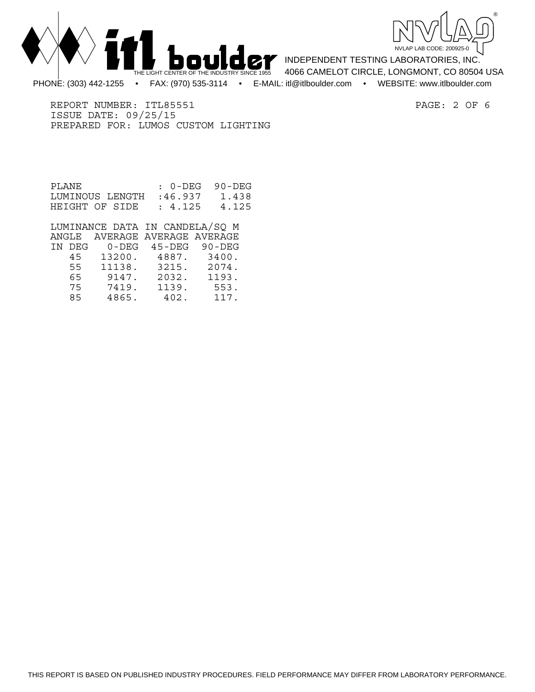



INDEPENDENT TESTING LABORATORIES, INC. 4066 CAMELOT CIRCLE, LONGMONT, CO 80504 USA PHONE: (303) 442-1255 • FAX: (970) 535-3114 • E-MAIL: itl@itlboulder.com • WEBSITE: www.itlboulder.com

REPORT NUMBER: ITL85551 PAGE: 2 OF 6 ISSUE DATE: 09/25/15 PREPARED FOR: LUMOS CUSTOM LIGHTING

| PLANE.          | : 0-DEG 90-DEG |       |
|-----------------|----------------|-------|
| LUMINOUS LENGTH | :46.937        | 1.438 |
| HEIGHT OF SIDE  | : 4.125        | 4.125 |

 LUMINANCE DATA IN CANDELA/SQ M ANGLE AVERAGE AVERAGE AVERAGE IN DEG 0-DEG 45-DEG 90-DEG 45 13200. 4887. 3400. 55 11138. 3215. 2074. 65 9147. 2032. 1193. 7419. 85 4865. 402. 117.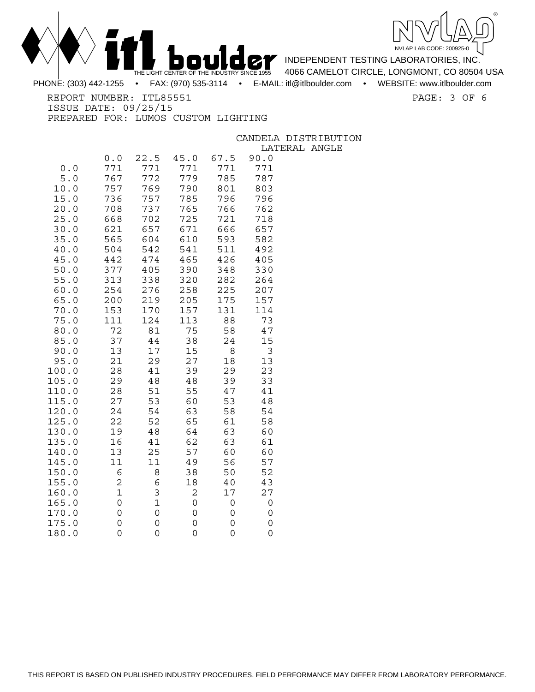



INDEPENDENT TESTING LABORATORIES, INC. 4066 CAMELOT CIRCLE, LONGMONT, CO 80504 USA

PHONE: (303) 442-1255 • FAX: (970) 535-3114 • E-MAIL: itl@itlboulder.com • WEBSITE: www.itlboulder.com

REPORT NUMBER: ITL85551 PAGE: 3 OF 6

ISSUE DATE: 09/25/15 PREPARED FOR: LUMOS CUSTOM LIGHTING

CANDELA DISTRIBUTION

LATERAL ANGLE

| 0.0                       | 0.0<br>771       | 22.5<br>771      | 45.0<br>771 | 67.5<br>771 | 90.0<br>771 |
|---------------------------|------------------|------------------|-------------|-------------|-------------|
| 5.0                       | 767              | 772              | 779         | 785         | 787         |
| 10.0                      | 757              | 769              | 790         | 801         | 803         |
| 15.0<br>20.0              | 736<br>708       | 757<br>737       | 785<br>765  | 796<br>766  | 796<br>762  |
| 25.0                      | 668              | 702              | 725         | 721         | 718         |
| 30.0                      | 621              | 657              | 671         | 666         | 657         |
| 35.0<br>40.0              | 565<br>504       | 604<br>542       | 610<br>541  | 593<br>511  | 582<br>492  |
| 45.0                      | 442              | 474              | 465         | 426         | 405         |
| 50.0                      | 377              | 405              | 390         | 348         | 330         |
| 55.0<br>60.0              | 313<br>254       | 338<br>276       | 320<br>258  | 282<br>225  | 264<br>207  |
| 65.0                      | 200              | 219              | 205         | 175         | 157         |
| 70.0                      | 153              | 170              | 157         | 131         | 114         |
| 75.0                      | 111<br>72        | 124<br>81        | 113<br>75   | 88<br>58    | 73<br>47    |
| 80.0<br>85.0              | 37               | 44               | 38          | 24          | 15          |
| 90.0                      | 13               | 17               | 15          | 8           | 3           |
| 95.0                      | 21<br>28         | 29               | 27          | 18<br>29    | 13<br>23    |
| 100.0<br>105.<br>0        | 29               | 41<br>48         | 39<br>48    | 39          | 33          |
| 110.0                     | 28               | 51               | 55          | 47          | 41          |
| 115.<br>0                 | 27               | 53               | 60          | 53          | 48          |
| 120.0<br>125.0            | 24<br>22         | 54<br>52         | 63<br>65    | 58<br>61    | 54<br>58    |
| 130.0                     | 19               | 48               | 64          | 63          | 60          |
| 135.<br>0                 | 16               | 41               | 62          | 63          | 61          |
| 140.0<br>145.<br>$\Omega$ | 13<br>11         | 25<br>11         | 57<br>49    | 60<br>56    | 60<br>57    |
| 150.<br>0                 | 6                | 8                | 38          | 50          | 52          |
| 155.<br>0                 | 2                | 6                | 18          | 40          | 43          |
| 160.<br>0<br>165.<br>0    | $\mathbf 1$<br>0 | 3<br>$\mathbf 1$ | 2<br>0      | 17<br>0     | 27<br>0     |
| 170.<br>0                 | 0                | 0                | 0           | 0           | 0           |
| 175.<br>0                 | 0                | 0                | 0           | 0           | 0           |
| 180.<br>0                 | 0                | 0                | 0           | 0           | 0           |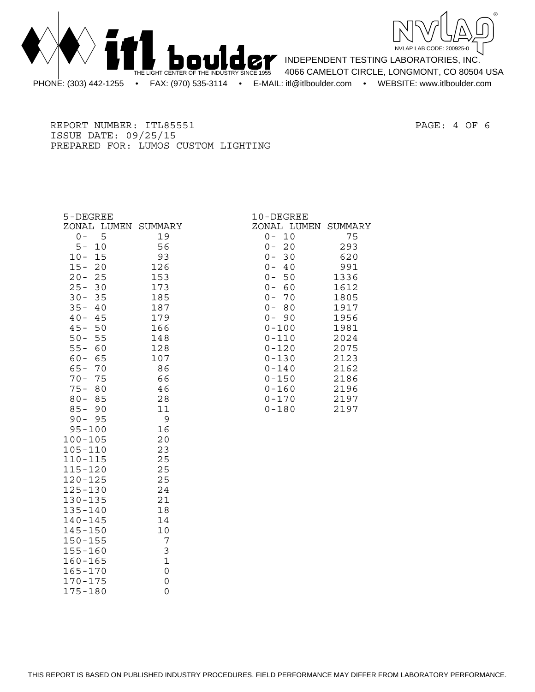



INDEPENDENT TESTING LABORATORIES, INC. 4066 CAMELOT CIRCLE, LONGMONT, CO 80504 USA PHONE: (303) 442-1255 • FAX: (970) 535-3114 • E-MAIL: itl@itlboulder.com • WEBSITE: www.itlboulder.com

REPORT NUMBER: ITL85551 PAGE: 4 OF 6 ISSUE DATE: 09/25/15 PREPARED FOR: LUMOS CUSTOM LIGHTING

| 5-DEGREE            |              | 10-DEGREE           |      |
|---------------------|--------------|---------------------|------|
| ZONAL LUMEN SUMMARY |              | ZONAL LUMEN SUMMARY |      |
| $0 -$<br>5          | 19           | 10<br>$0 -$         | 75   |
| $5 -$<br>10         | 56           | 20<br>$0 -$         | 293  |
| $10 -$<br>15        | 93           | 30<br>$0 -$         | 620  |
| $15 -$<br>20        | 126          | 40<br>$0 -$         | 991  |
| $20 -$<br>25        | 153          | $0 -$<br>50         | 1336 |
| $25 -$<br>30        | 173          | $0 -$<br>60         | 1612 |
| $30 -$<br>35        | 185          | 70<br>$0 -$         | 1805 |
| $35 -$<br>40        | 187          | 80<br>$0 -$         | 1917 |
| $40 -$<br>45        | 179          | $0 - 90$            | 1956 |
| $45 -$<br>50        | 166          | $0 - 100$           | 1981 |
| $50 -$<br>55        | 148          | $0 - 110$           | 2024 |
| $55 -$<br>60        | 128          | $0 - 120$           | 2075 |
| $60 -$<br>65        | 107          | $0 - 130$           | 2123 |
| $65 -$<br>70        | 86           | $0 - 140$           | 2162 |
| $70 -$<br>75        | 66           | $0 - 150$           | 2186 |
| $75 -$<br>80        | 46           | $0 - 160$           | 2196 |
| $80 -$<br>85        | 28           | $0 - 170$           | 2197 |
| $85 -$<br>90        | 11           | $0 - 180$           | 2197 |
| $90 - 95$           | 9            |                     |      |
| $95 - 100$          | 16           |                     |      |
| $100 - 105$         | 20           |                     |      |
| $105 - 110$         | 23           |                     |      |
| $110 - 115$         | 25           |                     |      |
| $115 - 120$         | 25           |                     |      |
| $120 - 125$         | 25           |                     |      |
| $125 - 130$         | 24           |                     |      |
| $130 - 135$         | 21           |                     |      |
| $135 - 140$         | 18           |                     |      |
| 140-145             | 14           |                     |      |
| $145 - 150$         | 10           |                     |      |
| $150 - 155$         | 7            |                     |      |
| $155 - 160$         | 3            |                     |      |
| $160 - 165$         | $\mathbf{1}$ |                     |      |
| $165 - 170$         | $\mathsf{O}$ |                     |      |

170-175 0<br>175-180 0

 $175 - 180$ 

|     | 0-DEGREE   |               |
|-----|------------|---------------|
|     | ONAL LUMEN | <b>SUMMAR</b> |
| 0 – | 10         | 75            |
| 0 – | 20         | 293           |
|     | $0 - 30$   | 620           |
| 0 – | -40        | 991           |
| 0 – | 50         | 1336          |
| 0 – | 60         | 1612          |
| 0 – | 70         | 1805          |
| 0 – | - 80       | 1917          |
| 0 – | - 90       | 1956          |
|     | 0-100      | 1981          |
|     | 0-110      | 2024          |
|     | 0-120      | 2075          |
|     | 0-130      | 2123          |
|     | 0-140      | 2162          |
|     | 0-150      | 2186          |
|     | 0-160      | 2196          |
|     | 0-170      | 2197          |
|     | ∩_1 ԶՈ     | 7197          |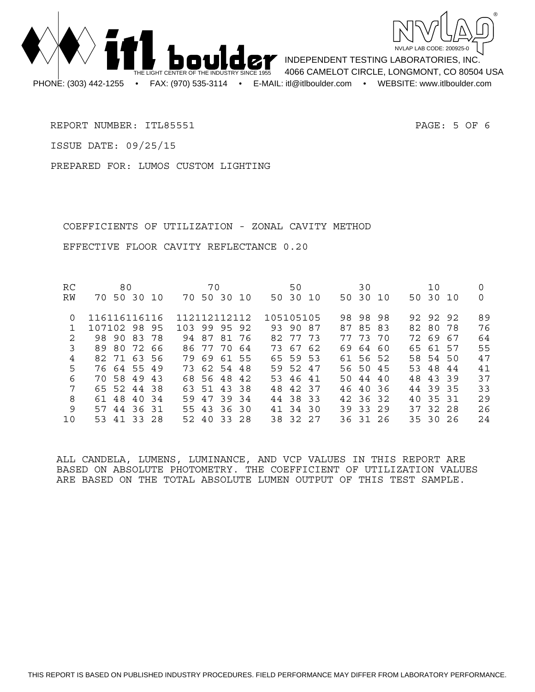



INDEPENDENT TESTING LABORATORIES, INC. 4066 CAMELOT CIRCLE, LONGMONT, CO 80504 USA

REPORT NUMBER: ITL85551 PAGE: 5 OF 6

ISSUE DATE: 09/25/15

PREPARED FOR: LUMOS CUSTOM LIGHTING

 COEFFICIENTS OF UTILIZATION - ZONAL CAVITY METHOD EFFECTIVE FLOOR CAVITY REFLECTANCE 0.20

| RC | 80                   | 70                 | 50        | 30           | 10       |    |
|----|----------------------|--------------------|-----------|--------------|----------|----|
| RW | 50 30<br>70<br>- 1 O | 50 30 10<br>70     | 50 30 10  | 50 30 10     | 50 30 10 | 0  |
| 0  | 116116116116         | 112112112112       | 105105105 | 98 98<br>98. | 92 92 92 | 89 |
|    | 107102 98 95         | 103 99 95 92       | 93 90 87  | 8583<br>87   | 82 80 78 | 76 |
| 2  | 98 90 83 78          | 94 87<br>8176      | 82 77 73  | 77 73 70     | 72 69 67 | 64 |
| 3  | 89 80<br>72<br>-66   | 77 70<br>86<br>-64 | 73 67 62  | 69 64 60     | 65 61 57 | 55 |
| 4  | 82 71 63 56          | 79 69 61 55        | 65 59 53  | 61 56 52     | 58 54 50 | 47 |
| 5  | 76 64 55 49          | 73 62 54 48        | 59 52 47  | 56 50 45     | 53 48 44 | 41 |
| 6  | 70 58 49<br>43       | 68 56 48 42        | 53 46 41  | 50 44 40     | 48 43 39 | 37 |
| 7  | 65 52 44 38          | 63 51 43 38        | 48 42 37  | 46 40 36     | 44 39 35 | 33 |
| 8  | 61 48 40 34          | 59 47 39 34        | 44 38 33  | 42 36 32     | 40 35 31 | 29 |
| 9  | 57<br>44 36 31       | 55 43<br>36 30     | 41 34 30  | 39 33 29     | 37 32 28 | 26 |
| 10 | 53 41<br>33 28       | 52 40 33 28        | 38 32 27  | 36 31 26     | 35 30 26 | 24 |

ALL CANDELA, LUMENS, LUMINANCE, AND VCP VALUES IN THIS REPORT ARE BASED ON ABSOLUTE PHOTOMETRY. THE COEFFICIENT OF UTILIZATION VALUES ARE BASED ON THE TOTAL ABSOLUTE LUMEN OUTPUT OF THIS TEST SAMPLE.